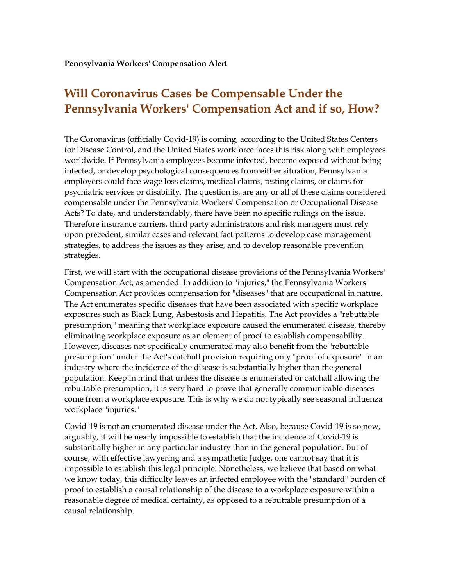## **Will Coronavirus Cases be Compensable Under the Pennsylvania Workers' Compensation Act and if so, How?**

The Coronavirus (officially Covid-19) is coming, according to the United States Centers for Disease Control, and the United States workforce faces this risk along with employees worldwide. If Pennsylvania employees become infected, become exposed without being infected, or develop psychological consequences from either situation, Pennsylvania employers could face wage loss claims, medical claims, testing claims, or claims for psychiatric services or disability. The question is, are any or all of these claims considered compensable under the Pennsylvania Workers' Compensation or Occupational Disease Acts? To date, and understandably, there have been no specific rulings on the issue. Therefore insurance carriers, third party administrators and risk managers must rely upon precedent, similar cases and relevant fact patterns to develop case management strategies, to address the issues as they arise, and to develop reasonable prevention strategies.

First, we will start with the occupational disease provisions of the Pennsylvania Workers' Compensation Act, as amended. In addition to "injuries," the Pennsylvania Workers' Compensation Act provides compensation for "diseases" that are occupational in nature. The Act enumerates specific diseases that have been associated with specific workplace exposures such as Black Lung, Asbestosis and Hepatitis. The Act provides a "rebuttable presumption," meaning that workplace exposure caused the enumerated disease, thereby eliminating workplace exposure as an element of proof to establish compensability. However, diseases not specifically enumerated may also benefit from the "rebuttable presumption" under the Act's catchall provision requiring only "proof of exposure" in an industry where the incidence of the disease is substantially higher than the general population. Keep in mind that unless the disease is enumerated or catchall allowing the rebuttable presumption, it is very hard to prove that generally communicable diseases come from a workplace exposure. This is why we do not typically see seasonal influenza workplace "injuries."

Covid-19 is not an enumerated disease under the Act. Also, because Covid-19 is so new, arguably, it will be nearly impossible to establish that the incidence of Covid-19 is substantially higher in any particular industry than in the general population. But of course, with effective lawyering and a sympathetic Judge, one cannot say that it is impossible to establish this legal principle. Nonetheless, we believe that based on what we know today, this difficulty leaves an infected employee with the "standard" burden of proof to establish a causal relationship of the disease to a workplace exposure within a reasonable degree of medical certainty, as opposed to a rebuttable presumption of a causal relationship.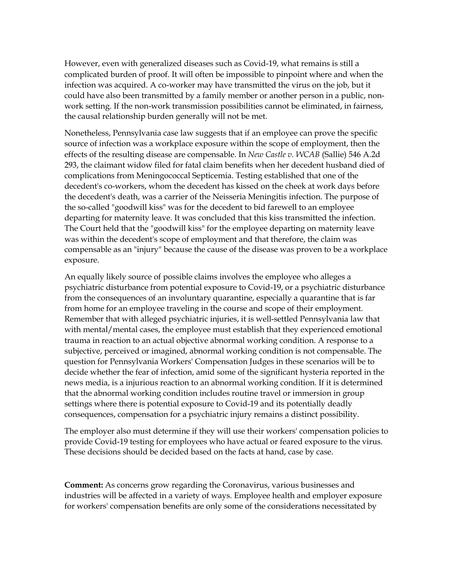However, even with generalized diseases such as Covid-19, what remains is still a complicated burden of proof. It will often be impossible to pinpoint where and when the infection was acquired. A co-worker may have transmitted the virus on the job, but it could have also been transmitted by a family member or another person in a public, nonwork setting. If the non-work transmission possibilities cannot be eliminated, in fairness, the causal relationship burden generally will not be met.

Nonetheless, Pennsylvania case law suggests that if an employee can prove the specific source of infection was a workplace exposure within the scope of employment, then the effects of the resulting disease are compensable. In *New Castle v. WCAB* (Sallie) 546 A.2d 293, the claimant widow filed for fatal claim benefits when her decedent husband died of complications from Meningococcal Septicemia. Testing established that one of the decedent's co-workers, whom the decedent has kissed on the cheek at work days before the decedent's death, was a carrier of the Neisseria Meningitis infection. The purpose of the so-called "goodwill kiss" was for the decedent to bid farewell to an employee departing for maternity leave. It was concluded that this kiss transmitted the infection. The Court held that the "goodwill kiss" for the employee departing on maternity leave was within the decedent's scope of employment and that therefore, the claim was compensable as an "injury" because the cause of the disease was proven to be a workplace exposure.

An equally likely source of possible claims involves the employee who alleges a psychiatric disturbance from potential exposure to Covid-19, or a psychiatric disturbance from the consequences of an involuntary quarantine, especially a quarantine that is far from home for an employee traveling in the course and scope of their employment. Remember that with alleged psychiatric injuries, it is well-settled Pennsylvania law that with mental/mental cases, the employee must establish that they experienced emotional trauma in reaction to an actual objective abnormal working condition. A response to a subjective, perceived or imagined, abnormal working condition is not compensable. The question for Pennsylvania Workers' Compensation Judges in these scenarios will be to decide whether the fear of infection, amid some of the significant hysteria reported in the news media, is a injurious reaction to an abnormal working condition. If it is determined that the abnormal working condition includes routine travel or immersion in group settings where there is potential exposure to Covid-19 and its potentially deadly consequences, compensation for a psychiatric injury remains a distinct possibility.

The employer also must determine if they will use their workers' compensation policies to provide Covid-19 testing for employees who have actual or feared exposure to the virus. These decisions should be decided based on the facts at hand, case by case.

**Comment:** As concerns grow regarding the Coronavirus, various businesses and industries will be affected in a variety of ways. Employee health and employer exposure for workers' compensation benefits are only some of the considerations necessitated by